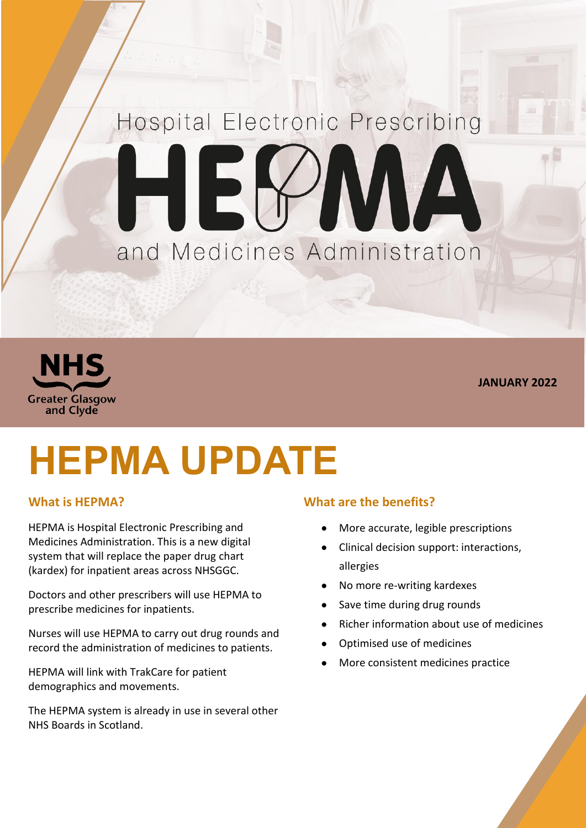## Hospital Electronic Prescribing EX AVAN and Medicines Administration



**JANUARY 2022**

# **HEPMA UPDATE**

#### **What is HEPMA?**

HEPMA is Hospital Electronic Prescribing and Medicines Administration. This is a new digital system that will replace the paper drug chart (kardex) for inpatient areas across NHSGGC.

Doctors and other prescribers will use HEPMA to prescribe medicines for inpatients.

Nurses will use HEPMA to carry out drug rounds and record the administration of medicines to patients.

HEPMA will link with TrakCare for patient demographics and movements.

The HEPMA system is already in use in several other NHS Boards in Scotland.

#### **What are the benefits?**

- More accurate, legible prescriptions
- Clinical decision support: interactions, allergies
- No more re-writing kardexes
- Save time during drug rounds
- Richer information about use of medicines
- Optimised use of medicines
- More consistent medicines practice